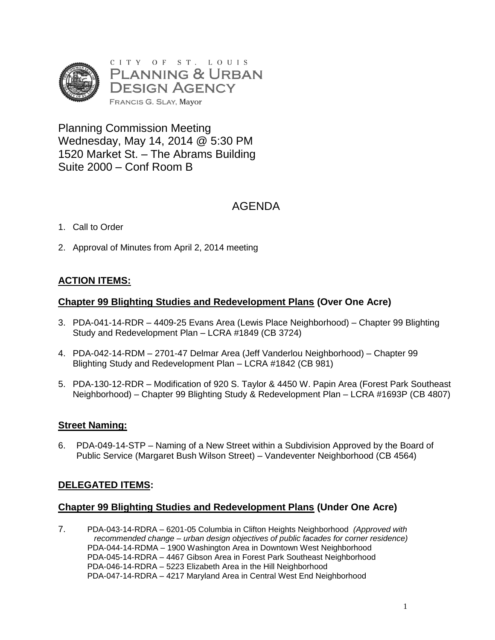

Planning Commission Meeting Wednesday, May 14, 2014 @ 5:30 PM 1520 Market St. – The Abrams Building Suite 2000 – Conf Room B

## AGENDA

- 1. Call to Order
- 2. Approval of Minutes from April 2, 2014 meeting

## **ACTION ITEMS:**

#### **Chapter 99 Blighting Studies and Redevelopment Plans (Over One Acre)**

- 3. PDA-041-14-RDR 4409-25 Evans Area (Lewis Place Neighborhood) Chapter 99 Blighting Study and Redevelopment Plan – LCRA #1849 (CB 3724)
- 4. PDA-042-14-RDM 2701-47 Delmar Area (Jeff Vanderlou Neighborhood) Chapter 99 Blighting Study and Redevelopment Plan – LCRA #1842 (CB 981)
- 5. PDA-130-12-RDR Modification of 920 S. Taylor & 4450 W. Papin Area (Forest Park Southeast Neighborhood) – Chapter 99 Blighting Study & Redevelopment Plan – LCRA #1693P (CB 4807)

### **Street Naming:**

6. PDA-049-14-STP – Naming of a New Street within a Subdivision Approved by the Board of Public Service (Margaret Bush Wilson Street) – Vandeventer Neighborhood (CB 4564)

### **DELEGATED ITEMS:**

#### **Chapter 99 Blighting Studies and Redevelopment Plans (Under One Acre)**

7. PDA-043-14-RDRA – 6201-05 Columbia in Clifton Heights Neighborhood *(Approved with recommended change – urban design objectives of public facades for corner residence)* PDA-044-14-RDMA – 1900 Washington Area in Downtown West Neighborhood PDA-045-14-RDRA – 4467 Gibson Area in Forest Park Southeast Neighborhood PDA-046-14-RDRA – 5223 Elizabeth Area in the Hill Neighborhood PDA-047-14-RDRA – 4217 Maryland Area in Central West End Neighborhood